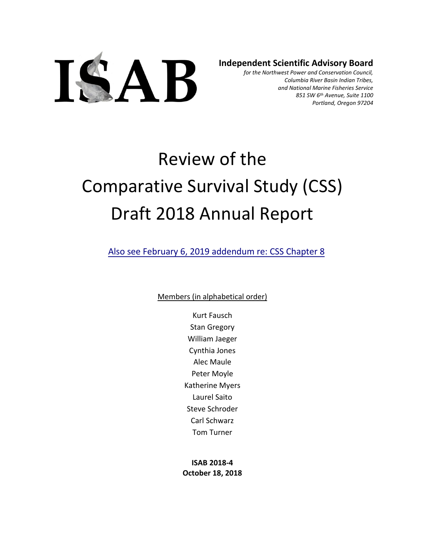

**Independent Scientific Advisory Board**

*for the Northwest Power and Conservation Council, Columbia River Basin Indian Tribes, and National Marine Fisheries Service 851 SW 6th Avenue, Suite 1100 Portland, Oregon 97204*

# Review of the Comparative Survival Study (CSS) Draft 2018 Annual Report

Al[so see February 6, 2019 addendum re: CSS Chapter](https://www.nwcouncil.org/sites/default/files/ISAB%202018-4UpdateResponseRevChpt8_6Feb2019.pdf) 8

Members (in alphabetical order)

Kurt Fausch Stan Gregory William Jaeger Cynthia Jones Alec Maule Peter Moyle Katherine Myers Laurel Saito Steve Schroder Carl Schwarz Tom Turner

**ISAB 2018-4 October 18, 2018**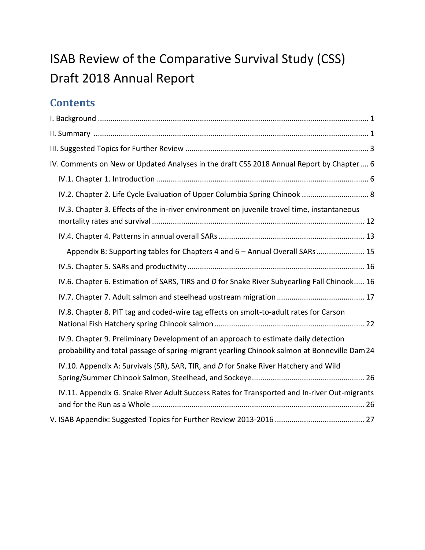## ISAB Review of the Comparative Survival Study (CSS) Draft 2018 Annual Report

## **Contents**

| IV. Comments on New or Updated Analyses in the draft CSS 2018 Annual Report by Chapter 6                                                                                           |
|------------------------------------------------------------------------------------------------------------------------------------------------------------------------------------|
|                                                                                                                                                                                    |
| IV.2. Chapter 2. Life Cycle Evaluation of Upper Columbia Spring Chinook  8                                                                                                         |
| IV.3. Chapter 3. Effects of the in-river environment on juvenile travel time, instantaneous                                                                                        |
|                                                                                                                                                                                    |
| Appendix B: Supporting tables for Chapters 4 and 6 - Annual Overall SARs 15                                                                                                        |
|                                                                                                                                                                                    |
| IV.6. Chapter 6. Estimation of SARS, TIRS and D for Snake River Subyearling Fall Chinook 16                                                                                        |
|                                                                                                                                                                                    |
| IV.8. Chapter 8. PIT tag and coded-wire tag effects on smolt-to-adult rates for Carson                                                                                             |
| IV.9. Chapter 9. Preliminary Development of an approach to estimate daily detection<br>probability and total passage of spring-migrant yearling Chinook salmon at Bonneville Dam24 |
| IV.10. Appendix A: Survivals (SR), SAR, TIR, and D for Snake River Hatchery and Wild                                                                                               |
| IV.11. Appendix G. Snake River Adult Success Rates for Transported and In-river Out-migrants                                                                                       |
|                                                                                                                                                                                    |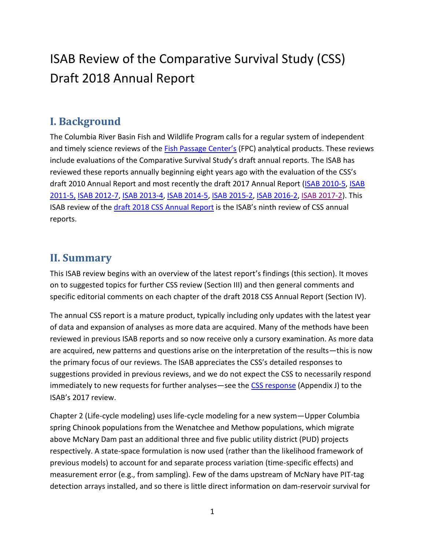## ISAB Review of the Comparative Survival Study (CSS) Draft 2018 Annual Report

## <span id="page-2-0"></span>**I. Background**

The Columbia River Basin Fish and Wildlife Program calls for a regular system of independent and timely science reviews of the [Fish Passage Center's](http://www.fpc.org/) (FPC) analytical products. These reviews include evaluations of the Comparative Survival Study's draft annual reports. The ISAB has reviewed these reports annually beginning eight years ago with the evaluation of the CSS's draft 2010 Annual Report and most recently the draft 2017 Annual Report [\(ISAB 2010-5,](http://www.nwcouncil.org/fw/isab/isab2010-5) [ISAB](http://www.nwcouncil.org/fw/isab/isab2011-5)  [2011-5,](http://www.nwcouncil.org/fw/isab/isab2011-5) [ISAB 2012-7,](http://www.nwcouncil.org/fw/isab/isab2012-7/) [ISAB 2013-4,](http://www.nwcouncil.org/fw/isab/isab2013-4) [ISAB 2014-5,](http://www.nwcouncil.org/fw/isab/isab2014-5) [ISAB 2015-2,](http://www.nwcouncil.org/fw/isab/isab2015-2/) [ISAB 2016-2,](http://www.nwcouncil.org/fw/isab/isab2016-2) [ISAB 2017-2\)](https://www.nwcouncil.org/fish-and-wildlife/fw-independent-advisory-committees/independent-scientific-advisory-board/review-of-comparative-survival-study-draft-2017-annual-report). This ISAB review of the draft 2018 [CSS Annual Report](http://www.fpc.org/documents/CSS/DRAFT2018CSSReport.pdf) is the ISAB's ninth review of CSS annual reports.

## <span id="page-2-1"></span>**II. Summary**

This ISAB review begins with an overview of the latest report's findings (this section). It moves on to suggested topics for further CSS review (Section III) and then general comments and specific editorial comments on each chapter of the draft 2018 CSS Annual Report (Section IV).

The annual CSS report is a mature product, typically including only updates with the latest year of data and expansion of analyses as more data are acquired. Many of the methods have been reviewed in previous ISAB reports and so now receive only a cursory examination. As more data are acquired, new patterns and questions arise on the interpretation of the results—this is now the primary focus of our reviews. The ISAB appreciates the CSS's detailed responses to suggestions provided in previous reviews, and we do not expect the CSS to necessarily respond immediately to new requests for further analyses—see the [CSS response](http://www.fpc.org/documents/CSS/CSS_2017_Final_ver1-1.pdf) (Appendix J) to the ISAB's 2017 review.

Chapter 2 (Life-cycle modeling) uses life-cycle modeling for a new system—Upper Columbia spring Chinook populations from the Wenatchee and Methow populations, which migrate above McNary Dam past an additional three and five public utility district (PUD) projects respectively. A state-space formulation is now used (rather than the likelihood framework of previous models) to account for and separate process variation (time-specific effects) and measurement error (e.g., from sampling). Few of the dams upstream of McNary have PIT-tag detection arrays installed, and so there is little direct information on dam-reservoir survival for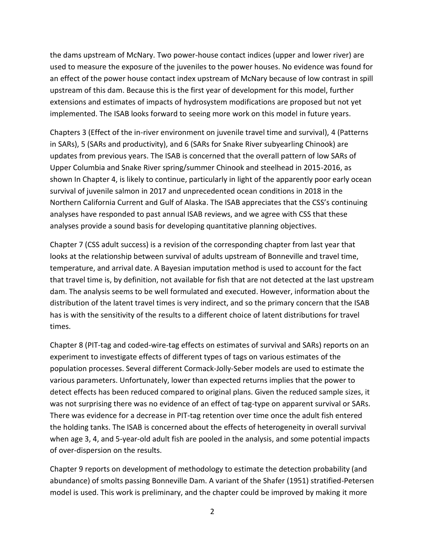the dams upstream of McNary. Two power-house contact indices (upper and lower river) are used to measure the exposure of the juveniles to the power houses. No evidence was found for an effect of the power house contact index upstream of McNary because of low contrast in spill upstream of this dam. Because this is the first year of development for this model, further extensions and estimates of impacts of hydrosystem modifications are proposed but not yet implemented. The ISAB looks forward to seeing more work on this model in future years.

Chapters 3 (Effect of the in-river environment on juvenile travel time and survival), 4 (Patterns in SARs), 5 (SARs and productivity), and 6 (SARs for Snake River subyearling Chinook) are updates from previous years. The ISAB is concerned that the overall pattern of low SARs of Upper Columbia and Snake River spring/summer Chinook and steelhead in 2015-2016, as shown In Chapter 4, is likely to continue, particularly in light of the apparently poor early ocean survival of juvenile salmon in 2017 and unprecedented ocean conditions in 2018 in the Northern California Current and Gulf of Alaska. The ISAB appreciates that the CSS's continuing analyses have responded to past annual ISAB reviews, and we agree with CSS that these analyses provide a sound basis for developing quantitative planning objectives.

Chapter 7 (CSS adult success) is a revision of the corresponding chapter from last year that looks at the relationship between survival of adults upstream of Bonneville and travel time, temperature, and arrival date. A Bayesian imputation method is used to account for the fact that travel time is, by definition, not available for fish that are not detected at the last upstream dam. The analysis seems to be well formulated and executed. However, information about the distribution of the latent travel times is very indirect, and so the primary concern that the ISAB has is with the sensitivity of the results to a different choice of latent distributions for travel times.

Chapter 8 (PIT-tag and coded-wire-tag effects on estimates of survival and SARs) reports on an experiment to investigate effects of different types of tags on various estimates of the population processes. Several different Cormack-Jolly-Seber models are used to estimate the various parameters. Unfortunately, lower than expected returns implies that the power to detect effects has been reduced compared to original plans. Given the reduced sample sizes, it was not surprising there was no evidence of an effect of tag-type on apparent survival or SARs. There was evidence for a decrease in PIT-tag retention over time once the adult fish entered the holding tanks. The ISAB is concerned about the effects of heterogeneity in overall survival when age 3, 4, and 5-year-old adult fish are pooled in the analysis, and some potential impacts of over-dispersion on the results.

Chapter 9 reports on development of methodology to estimate the detection probability (and abundance) of smolts passing Bonneville Dam. A variant of the Shafer (1951) stratified-Petersen model is used. This work is preliminary, and the chapter could be improved by making it more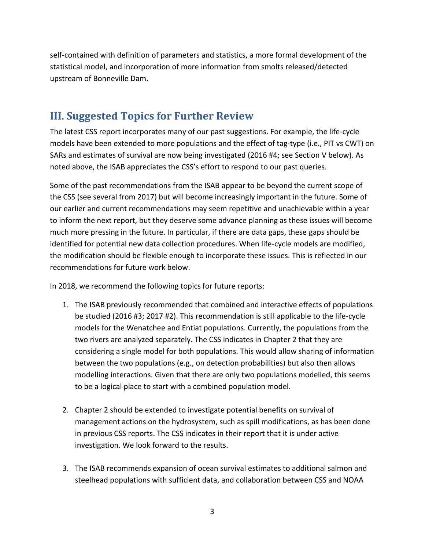self-contained with definition of parameters and statistics, a more formal development of the statistical model, and incorporation of more information from smolts released/detected upstream of Bonneville Dam.

## <span id="page-4-0"></span>**III. Suggested Topics for Further Review**

The latest CSS report incorporates many of our past suggestions. For example, the life-cycle models have been extended to more populations and the effect of tag-type (i.e., PIT vs CWT) on SARs and estimates of survival are now being investigated (2016 #4; see Section V below). As noted above, the ISAB appreciates the CSS's effort to respond to our past queries.

Some of the past recommendations from the ISAB appear to be beyond the current scope of the CSS (see several from 2017) but will become increasingly important in the future. Some of our earlier and current recommendations may seem repetitive and unachievable within a year to inform the next report, but they deserve some advance planning as these issues will become much more pressing in the future. In particular, if there are data gaps, these gaps should be identified for potential new data collection procedures. When life-cycle models are modified, the modification should be flexible enough to incorporate these issues. This is reflected in our recommendations for future work below.

In 2018, we recommend the following topics for future reports:

- 1. The ISAB previously recommended that combined and interactive effects of populations be studied (2016 #3; 2017 #2). This recommendation is still applicable to the life-cycle models for the Wenatchee and Entiat populations. Currently, the populations from the two rivers are analyzed separately. The CSS indicates in Chapter 2 that they are considering a single model for both populations. This would allow sharing of information between the two populations (e.g., on detection probabilities) but also then allows modelling interactions. Given that there are only two populations modelled, this seems to be a logical place to start with a combined population model.
- 2. Chapter 2 should be extended to investigate potential benefits on survival of management actions on the hydrosystem, such as spill modifications, as has been done in previous CSS reports. The CSS indicates in their report that it is under active investigation. We look forward to the results.
- 3. The ISAB recommends expansion of ocean survival estimates to additional salmon and steelhead populations with sufficient data, and collaboration between CSS and NOAA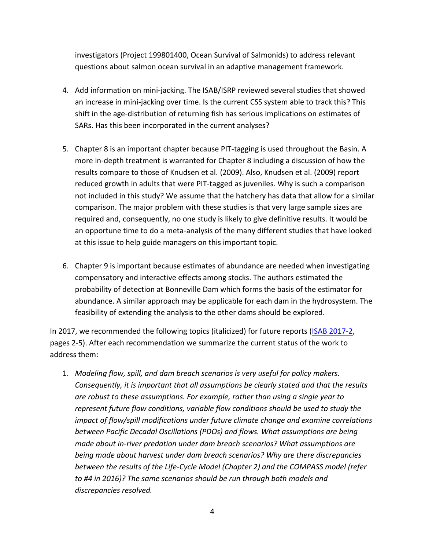investigators (Project 199801400, Ocean Survival of Salmonids) to address relevant questions about salmon ocean survival in an adaptive management framework.

- 4. Add information on mini-jacking. The ISAB/ISRP reviewed several studies that showed an increase in mini-jacking over time. Is the current CSS system able to track this? This shift in the age-distribution of returning fish has serious implications on estimates of SARs. Has this been incorporated in the current analyses?
- 5. Chapter 8 is an important chapter because PIT-tagging is used throughout the Basin. A more in-depth treatment is warranted for Chapter 8 including a discussion of how the results compare to those of Knudsen et al. (2009). Also, Knudsen et al. (2009) report reduced growth in adults that were PIT-tagged as juveniles. Why is such a comparison not included in this study? We assume that the hatchery has data that allow for a similar comparison. The major problem with these studies is that very large sample sizes are required and, consequently, no one study is likely to give definitive results. It would be an opportune time to do a meta-analysis of the many different studies that have looked at this issue to help guide managers on this important topic.
- 6. Chapter 9 is important because estimates of abundance are needed when investigating compensatory and interactive effects among stocks. The authors estimated the probability of detection at Bonneville Dam which forms the basis of the estimator for abundance. A similar approach may be applicable for each dam in the hydrosystem. The feasibility of extending the analysis to the other dams should be explored.

In 2017, we recommended the following topics (italicized) for future reports [\(ISAB 2017-2,](https://www.nwcouncil.org/fish-and-wildlife/fw-independent-advisory-committees/independent-scientific-advisory-board/review-of-comparative-survival-study-draft-2017-annual-report) pages 2-5). After each recommendation we summarize the current status of the work to address them:

1. *Modeling flow, spill, and dam breach scenarios is very useful for policy makers. Consequently, it is important that all assumptions be clearly stated and that the results are robust to these assumptions. For example, rather than using a single year to represent future flow conditions, variable flow conditions should be used to study the impact of flow/spill modifications under future climate change and examine correlations between Pacific Decadal Oscillations (PDOs) and flows. What assumptions are being made about in-river predation under dam breach scenarios? What assumptions are being made about harvest under dam breach scenarios? Why are there discrepancies between the results of the Life-Cycle Model (Chapter 2) and the COMPASS model (refer to #4 in 2016)? The same scenarios should be run through both models and discrepancies resolved.*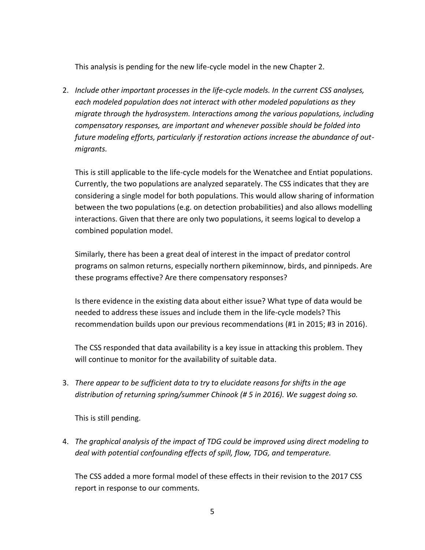This analysis is pending for the new life-cycle model in the new Chapter 2.

2. *Include other important processes in the life-cycle models. In the current CSS analyses, each modeled population does not interact with other modeled populations as they migrate through the hydrosystem. Interactions among the various populations, including compensatory responses, are important and whenever possible should be folded into future modeling efforts, particularly if restoration actions increase the abundance of outmigrants.*

This is still applicable to the life-cycle models for the Wenatchee and Entiat populations. Currently, the two populations are analyzed separately. The CSS indicates that they are considering a single model for both populations. This would allow sharing of information between the two populations (e.g. on detection probabilities) and also allows modelling interactions. Given that there are only two populations, it seems logical to develop a combined population model.

Similarly, there has been a great deal of interest in the impact of predator control programs on salmon returns, especially northern pikeminnow, birds, and pinnipeds. Are these programs effective? Are there compensatory responses?

Is there evidence in the existing data about either issue? What type of data would be needed to address these issues and include them in the life-cycle models? This recommendation builds upon our previous recommendations (#1 in 2015; #3 in 2016).

The CSS responded that data availability is a key issue in attacking this problem. They will continue to monitor for the availability of suitable data.

3. *There appear to be sufficient data to try to elucidate reasons for shifts in the age distribution of returning spring/summer Chinook (# 5 in 2016). We suggest doing so.*

This is still pending.

4. *The graphical analysis of the impact of TDG could be improved using direct modeling to deal with potential confounding effects of spill, flow, TDG, and temperature.*

The CSS added a more formal model of these effects in their revision to the 2017 CSS report in response to our comments.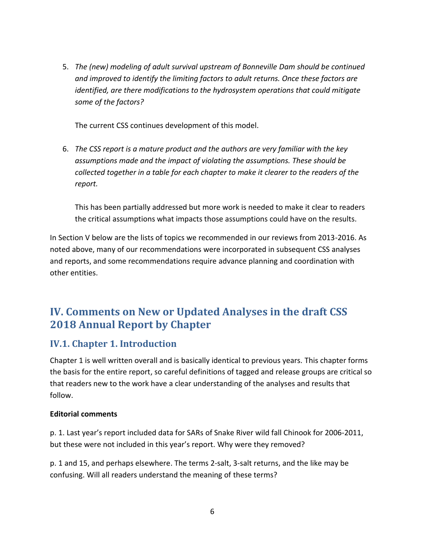5. *The (new) modeling of adult survival upstream of Bonneville Dam should be continued and improved to identify the limiting factors to adult returns. Once these factors are identified, are there modifications to the hydrosystem operations that could mitigate some of the factors?*

The current CSS continues development of this model.

6. *The CSS report is a mature product and the authors are very familiar with the key assumptions made and the impact of violating the assumptions. These should be collected together in a table for each chapter to make it clearer to the readers of the report.*

This has been partially addressed but more work is needed to make it clear to readers the critical assumptions what impacts those assumptions could have on the results.

In Section V below are the lists of topics we recommended in our reviews from 2013-2016. As noted above, many of our recommendations were incorporated in subsequent CSS analyses and reports, and some recommendations require advance planning and coordination with other entities.

## <span id="page-7-0"></span>**IV. Comments on New or Updated Analyses in the draft CSS 2018 Annual Report by Chapter**

#### <span id="page-7-1"></span>**IV.1. Chapter 1. Introduction**

Chapter 1 is well written overall and is basically identical to previous years. This chapter forms the basis for the entire report, so careful definitions of tagged and release groups are critical so that readers new to the work have a clear understanding of the analyses and results that follow.

#### **Editorial comments**

p. 1. Last year's report included data for SARs of Snake River wild fall Chinook for 2006-2011, but these were not included in this year's report. Why were they removed?

p. 1 and 15, and perhaps elsewhere. The terms 2-salt, 3-salt returns, and the like may be confusing. Will all readers understand the meaning of these terms?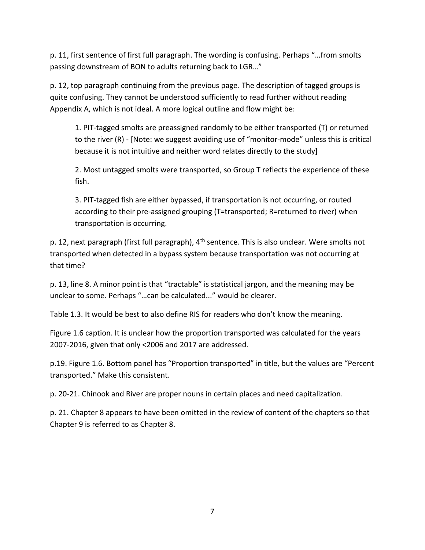p. 11, first sentence of first full paragraph. The wording is confusing. Perhaps "…from smolts passing downstream of BON to adults returning back to LGR…"

p. 12, top paragraph continuing from the previous page. The description of tagged groups is quite confusing. They cannot be understood sufficiently to read further without reading Appendix A, which is not ideal. A more logical outline and flow might be:

1. PIT-tagged smolts are preassigned randomly to be either transported (T) or returned to the river (R) - [Note: we suggest avoiding use of "monitor-mode" unless this is critical because it is not intuitive and neither word relates directly to the study]

2. Most untagged smolts were transported, so Group T reflects the experience of these fish.

3. PIT-tagged fish are either bypassed, if transportation is not occurring, or routed according to their pre-assigned grouping (T=transported; R=returned to river) when transportation is occurring.

p. 12, next paragraph (first full paragraph), 4<sup>th</sup> sentence. This is also unclear. Were smolts not transported when detected in a bypass system because transportation was not occurring at that time?

p. 13, line 8. A minor point is that "tractable" is statistical jargon, and the meaning may be unclear to some. Perhaps "…can be calculated..." would be clearer.

Table 1.3. It would be best to also define RIS for readers who don't know the meaning.

Figure 1.6 caption. It is unclear how the proportion transported was calculated for the years 2007-2016, given that only <2006 and 2017 are addressed.

p.19. Figure 1.6. Bottom panel has "Proportion transported" in title, but the values are "Percent transported." Make this consistent.

p. 20-21. Chinook and River are proper nouns in certain places and need capitalization.

p. 21. Chapter 8 appears to have been omitted in the review of content of the chapters so that Chapter 9 is referred to as Chapter 8.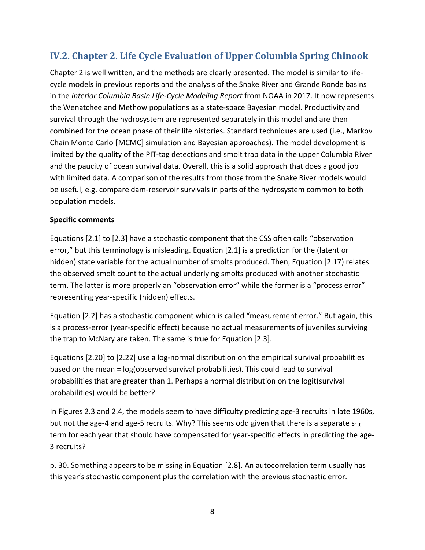## <span id="page-9-0"></span>**IV.2. Chapter 2. Life Cycle Evaluation of Upper Columbia Spring Chinook**

Chapter 2 is well written, and the methods are clearly presented. The model is similar to lifecycle models in previous reports and the analysis of the Snake River and Grande Ronde basins in the *Interior Columbia Basin Life-Cycle Modeling Report* from NOAA in 2017. It now represents the Wenatchee and Methow populations as a state-space Bayesian model. Productivity and survival through the hydrosystem are represented separately in this model and are then combined for the ocean phase of their life histories. Standard techniques are used (i.e., Markov Chain Monte Carlo [MCMC] simulation and Bayesian approaches). The model development is limited by the quality of the PIT-tag detections and smolt trap data in the upper Columbia River and the paucity of ocean survival data. Overall, this is a solid approach that does a good job with limited data. A comparison of the results from those from the Snake River models would be useful, e.g. compare dam-reservoir survivals in parts of the hydrosystem common to both population models.

#### **Specific comments**

Equations [2.1] to [2.3] have a stochastic component that the CSS often calls "observation error," but this terminology is misleading. Equation [2.1] is a prediction for the (latent or hidden) state variable for the actual number of smolts produced. Then, Equation [2.17) relates the observed smolt count to the actual underlying smolts produced with another stochastic term. The latter is more properly an "observation error" while the former is a "process error" representing year-specific (hidden) effects.

Equation [2.2] has a stochastic component which is called "measurement error." But again, this is a process-error (year-specific effect) because no actual measurements of juveniles surviving the trap to McNary are taken. The same is true for Equation [2.3].

Equations [2.20] to [2.22] use a log-normal distribution on the empirical survival probabilities based on the mean = log(observed survival probabilities). This could lead to survival probabilities that are greater than 1. Perhaps a normal distribution on the logit(survival probabilities) would be better?

In Figures 2.3 and 2.4, the models seem to have difficulty predicting age-3 recruits in late 1960s, but not the age-4 and age-5 recruits. Why? This seems odd given that there is a separate  $s_{1,t}$ term for each year that should have compensated for year-specific effects in predicting the age-3 recruits?

p. 30. Something appears to be missing in Equation [2.8]. An autocorrelation term usually has this year's stochastic component plus the correlation with the previous stochastic error.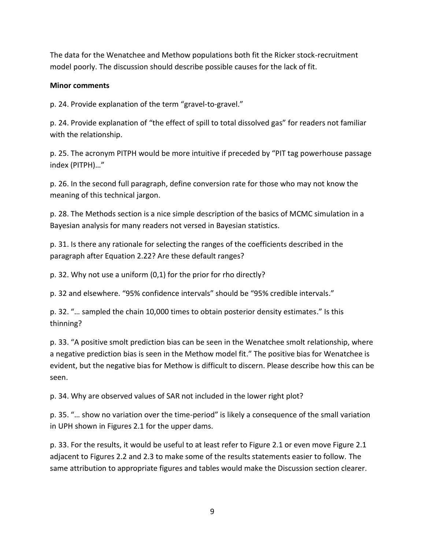The data for the Wenatchee and Methow populations both fit the Ricker stock-recruitment model poorly. The discussion should describe possible causes for the lack of fit.

#### **Minor comments**

p. 24. Provide explanation of the term "gravel-to-gravel."

p. 24. Provide explanation of "the effect of spill to total dissolved gas" for readers not familiar with the relationship.

p. 25. The acronym PITPH would be more intuitive if preceded by "PIT tag powerhouse passage index (PITPH)…"

p. 26. In the second full paragraph, define conversion rate for those who may not know the meaning of this technical jargon.

p. 28. The Methods section is a nice simple description of the basics of MCMC simulation in a Bayesian analysis for many readers not versed in Bayesian statistics.

p. 31. Is there any rationale for selecting the ranges of the coefficients described in the paragraph after Equation 2.22? Are these default ranges?

p. 32. Why not use a uniform (0,1) for the prior for rho directly?

p. 32 and elsewhere. "95% confidence intervals" should be "95% credible intervals."

p. 32. "… sampled the chain 10,000 times to obtain posterior density estimates." Is this thinning?

p. 33. "A positive smolt prediction bias can be seen in the Wenatchee smolt relationship, where a negative prediction bias is seen in the Methow model fit." The positive bias for Wenatchee is evident, but the negative bias for Methow is difficult to discern. Please describe how this can be seen.

p. 34. Why are observed values of SAR not included in the lower right plot?

p. 35. "… show no variation over the time-period" is likely a consequence of the small variation in UPH shown in Figures 2.1 for the upper dams.

p. 33. For the results, it would be useful to at least refer to Figure 2.1 or even move Figure 2.1 adjacent to Figures 2.2 and 2.3 to make some of the results statements easier to follow. The same attribution to appropriate figures and tables would make the Discussion section clearer.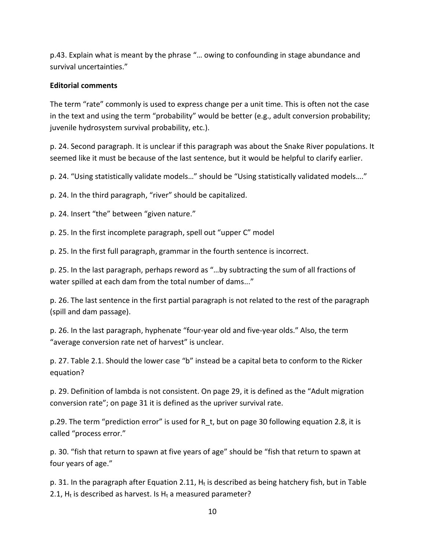p.43. Explain what is meant by the phrase "… owing to confounding in stage abundance and survival uncertainties."

#### **Editorial comments**

The term "rate" commonly is used to express change per a unit time. This is often not the case in the text and using the term "probability" would be better (e.g., adult conversion probability; juvenile hydrosystem survival probability, etc.).

p. 24. Second paragraph. It is unclear if this paragraph was about the Snake River populations. It seemed like it must be because of the last sentence, but it would be helpful to clarify earlier.

p. 24. "Using statistically validate models…" should be "Using statistically validated models…."

p. 24. In the third paragraph, "river" should be capitalized.

p. 24. Insert "the" between "given nature."

p. 25. In the first incomplete paragraph, spell out "upper C" model

p. 25. In the first full paragraph, grammar in the fourth sentence is incorrect.

p. 25. In the last paragraph, perhaps reword as "…by subtracting the sum of all fractions of water spilled at each dam from the total number of dams..."

p. 26. The last sentence in the first partial paragraph is not related to the rest of the paragraph (spill and dam passage).

p. 26. In the last paragraph, hyphenate "four-year old and five-year olds." Also, the term "average conversion rate net of harvest" is unclear.

p. 27. Table 2.1. Should the lower case "b" instead be a capital beta to conform to the Ricker equation?

p. 29. Definition of lambda is not consistent. On page 29, it is defined as the "Adult migration conversion rate"; on page 31 it is defined as the upriver survival rate.

p.29. The term "prediction error" is used for R\_t, but on page 30 following equation 2.8, it is called "process error."

p. 30. "fish that return to spawn at five years of age" should be "fish that return to spawn at four years of age."

p. 31. In the paragraph after Equation 2.11,  $H_t$  is described as being hatchery fish, but in Table 2.1,  $H_t$  is described as harvest. Is  $H_t$  a measured parameter?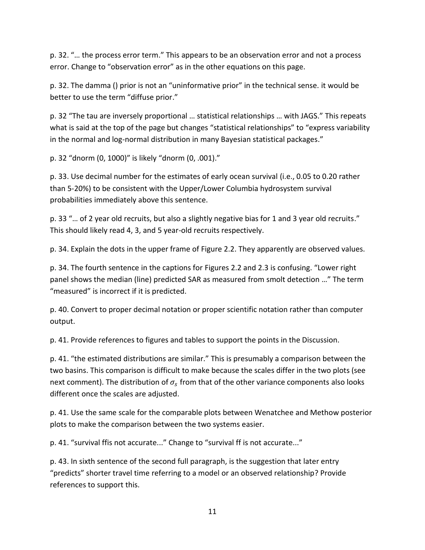p. 32. "… the process error term." This appears to be an observation error and not a process error. Change to "observation error" as in the other equations on this page.

p. 32. The damma () prior is not an "uninformative prior" in the technical sense. it would be better to use the term "diffuse prior."

p. 32 "The tau are inversely proportional … statistical relationships … with JAGS." This repeats what is said at the top of the page but changes "statistical relationships" to "express variability in the normal and log-normal distribution in many Bayesian statistical packages."

p. 32 "dnorm (0, 1000)" is likely "dnorm (0, .001)."

p. 33. Use decimal number for the estimates of early ocean survival (i.e., 0.05 to 0.20 rather than 5-20%) to be consistent with the Upper/Lower Columbia hydrosystem survival probabilities immediately above this sentence.

p. 33 "... of 2 year old recruits, but also a slightly negative bias for 1 and 3 year old recruits." This should likely read 4, 3, and 5 year-old recruits respectively.

p. 34. Explain the dots in the upper frame of Figure 2.2. They apparently are observed values.

p. 34. The fourth sentence in the captions for Figures 2.2 and 2.3 is confusing. "Lower right panel shows the median (line) predicted SAR as measured from smolt detection …" The term "measured" is incorrect if it is predicted.

p. 40. Convert to proper decimal notation or proper scientific notation rather than computer output.

p. 41. Provide references to figures and tables to support the points in the Discussion.

p. 41. "the estimated distributions are similar." This is presumably a comparison between the two basins. This comparison is difficult to make because the scales differ in the two plots (see next comment). The distribution of  $\sigma_s$  from that of the other variance components also looks different once the scales are adjusted.

p. 41. Use the same scale for the comparable plots between Wenatchee and Methow posterior plots to make the comparison between the two systems easier.

p. 41. "survival ffis not accurate..." Change to "survival ff is not accurate..."

p. 43. In sixth sentence of the second full paragraph, is the suggestion that later entry "predicts" shorter travel time referring to a model or an observed relationship? Provide references to support this.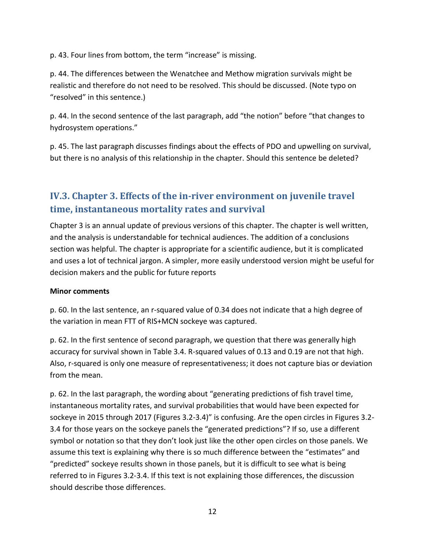p. 43. Four lines from bottom, the term "increase" is missing.

p. 44. The differences between the Wenatchee and Methow migration survivals might be realistic and therefore do not need to be resolved. This should be discussed. (Note typo on "resolved" in this sentence.)

p. 44. In the second sentence of the last paragraph, add "the notion" before "that changes to hydrosystem operations."

p. 45. The last paragraph discusses findings about the effects of PDO and upwelling on survival, but there is no analysis of this relationship in the chapter. Should this sentence be deleted?

## <span id="page-13-0"></span>**IV.3. Chapter 3. Effects of the in-river environment on juvenile travel time, instantaneous mortality rates and survival**

Chapter 3 is an annual update of previous versions of this chapter. The chapter is well written, and the analysis is understandable for technical audiences. The addition of a conclusions section was helpful. The chapter is appropriate for a scientific audience, but it is complicated and uses a lot of technical jargon. A simpler, more easily understood version might be useful for decision makers and the public for future reports

#### **Minor comments**

p. 60. In the last sentence, an r-squared value of 0.34 does not indicate that a high degree of the variation in mean FTT of RIS+MCN sockeye was captured.

p. 62. In the first sentence of second paragraph, we question that there was generally high accuracy for survival shown in Table 3.4. R-squared values of 0.13 and 0.19 are not that high. Also, r-squared is only one measure of representativeness; it does not capture bias or deviation from the mean.

p. 62. In the last paragraph, the wording about "generating predictions of fish travel time, instantaneous mortality rates, and survival probabilities that would have been expected for sockeye in 2015 through 2017 (Figures 3.2-3.4)" is confusing. Are the open circles in Figures 3.2- 3.4 for those years on the sockeye panels the "generated predictions"? If so, use a different symbol or notation so that they don't look just like the other open circles on those panels. We assume this text is explaining why there is so much difference between the "estimates" and "predicted" sockeye results shown in those panels, but it is difficult to see what is being referred to in Figures 3.2-3.4. If this text is not explaining those differences, the discussion should describe those differences.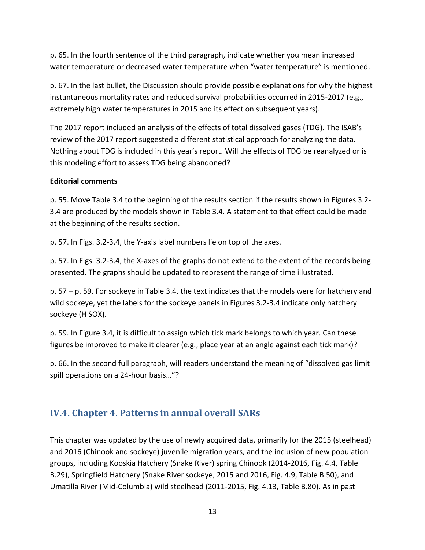p. 65. In the fourth sentence of the third paragraph, indicate whether you mean increased water temperature or decreased water temperature when "water temperature" is mentioned.

p. 67. In the last bullet, the Discussion should provide possible explanations for why the highest instantaneous mortality rates and reduced survival probabilities occurred in 2015-2017 (e.g., extremely high water temperatures in 2015 and its effect on subsequent years).

The 2017 report included an analysis of the effects of total dissolved gases (TDG). The ISAB's review of the 2017 report suggested a different statistical approach for analyzing the data. Nothing about TDG is included in this year's report. Will the effects of TDG be reanalyzed or is this modeling effort to assess TDG being abandoned?

#### **Editorial comments**

p. 55. Move Table 3.4 to the beginning of the results section if the results shown in Figures 3.2- 3.4 are produced by the models shown in Table 3.4. A statement to that effect could be made at the beginning of the results section.

p. 57. In Figs. 3.2-3.4, the Y-axis label numbers lie on top of the axes.

p. 57. In Figs. 3.2-3.4, the X-axes of the graphs do not extend to the extent of the records being presented. The graphs should be updated to represent the range of time illustrated.

p. 57 – p. 59. For sockeye in Table 3.4, the text indicates that the models were for hatchery and wild sockeye, yet the labels for the sockeye panels in Figures 3.2-3.4 indicate only hatchery sockeye (H SOX).

p. 59. In Figure 3.4, it is difficult to assign which tick mark belongs to which year. Can these figures be improved to make it clearer (e.g., place year at an angle against each tick mark)?

p. 66. In the second full paragraph, will readers understand the meaning of "dissolved gas limit spill operations on a 24-hour basis…"?

### <span id="page-14-0"></span>**IV.4. Chapter 4. Patterns in annual overall SARs**

This chapter was updated by the use of newly acquired data, primarily for the 2015 (steelhead) and 2016 (Chinook and sockeye) juvenile migration years, and the inclusion of new population groups, including Kooskia Hatchery (Snake River) spring Chinook (2014-2016, Fig. 4.4, Table B.29), Springfield Hatchery (Snake River sockeye, 2015 and 2016, Fig. 4.9, Table B.50), and Umatilla River (Mid-Columbia) wild steelhead (2011-2015, Fig. 4.13, Table B.80). As in past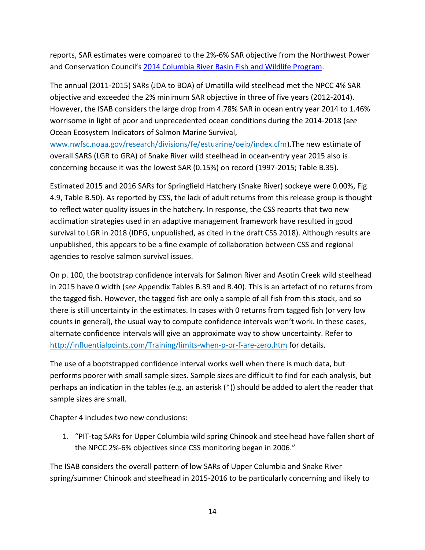reports, SAR estimates were compared to the 2%-6% SAR objective from the Northwest Power and Conservation Council's [2014 Columbia River Basin Fish and Wildlife Program.](http://www.nwcouncil.org/media/7148624/2014-12.pdf)

The annual (2011-2015) SARs (JDA to BOA) of Umatilla wild steelhead met the NPCC 4% SAR objective and exceeded the 2% minimum SAR objective in three of five years (2012-2014). However, the ISAB considers the large drop from 4.78% SAR in ocean entry year 2014 to 1.46% worrisome in light of poor and unprecedented ocean conditions during the 2014-2018 (*see* Ocean Ecosystem Indicators of Salmon Marine Survival,

[www.nwfsc.noaa.gov/research/divisions/fe/estuarine/oeip/index.cfm\)](https://www.nwfsc.noaa.gov/research/divisions/fe/estuarine/oeip/index.cfm).The new estimate of overall SARS (LGR to GRA) of Snake River wild steelhead in ocean-entry year 2015 also is concerning because it was the lowest SAR (0.15%) on record (1997-2015; Table B.35).

Estimated 2015 and 2016 SARs for Springfield Hatchery (Snake River) sockeye were 0.00%, Fig 4.9, Table B.50). As reported by CSS, the lack of adult returns from this release group is thought to reflect water quality issues in the hatchery. In response, the CSS reports that two new acclimation strategies used in an adaptive management framework have resulted in good survival to LGR in 2018 (IDFG, unpublished, as cited in the draft CSS 2018). Although results are unpublished, this appears to be a fine example of collaboration between CSS and regional agencies to resolve salmon survival issues.

On p. 100, the bootstrap confidence intervals for Salmon River and Asotin Creek wild steelhead in 2015 have 0 width (*see* Appendix Tables B.39 and B.40). This is an artefact of no returns from the tagged fish. However, the tagged fish are only a sample of all fish from this stock, and so there is still uncertainty in the estimates. In cases with 0 returns from tagged fish (or very low counts in general), the usual way to compute confidence intervals won't work. In these cases, alternate confidence intervals will give an approximate way to show uncertainty. Refer to <http://influentialpoints.com/Training/limits-when-p-or-f-are-zero.htm> for details.

The use of a bootstrapped confidence interval works well when there is much data, but performs poorer with small sample sizes. Sample sizes are difficult to find for each analysis, but perhaps an indication in the tables (e.g. an asterisk (\*)) should be added to alert the reader that sample sizes are small.

Chapter 4 includes two new conclusions:

1. "PIT-tag SARs for Upper Columbia wild spring Chinook and steelhead have fallen short of the NPCC 2%-6% objectives since CSS monitoring began in 2006."

The ISAB considers the overall pattern of low SARs of Upper Columbia and Snake River spring/summer Chinook and steelhead in 2015-2016 to be particularly concerning and likely to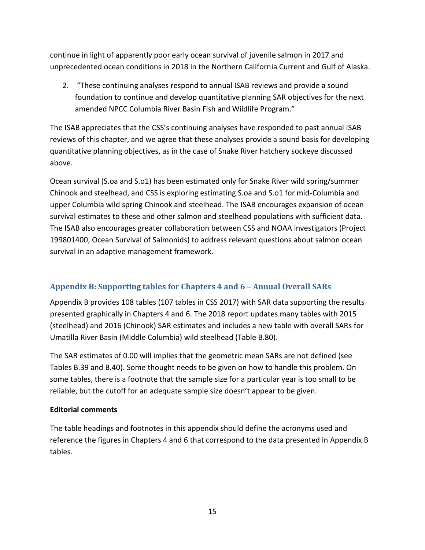continue in light of apparently poor early ocean survival of juvenile salmon in 2017 and unprecedented ocean conditions in 2018 in the Northern California Current and Gulf of Alaska.

2. "These continuing analyses respond to annual ISAB reviews and provide a sound foundation to continue and develop quantitative planning SAR objectives for the next amended NPCC Columbia River Basin Fish and Wildlife Program."

The ISAB appreciates that the CSS's continuing analyses have responded to past annual ISAB reviews of this chapter, and we agree that these analyses provide a sound basis for developing quantitative planning objectives, as in the case of Snake River hatchery sockeye discussed above.

Ocean survival (S.oa and S.o1) has been estimated only for Snake River wild spring/summer Chinook and steelhead, and CSS is exploring estimating S.oa and S.o1 for mid-Columbia and upper Columbia wild spring Chinook and steelhead. The ISAB encourages expansion of ocean survival estimates to these and other salmon and steelhead populations with sufficient data. The ISAB also encourages greater collaboration between CSS and NOAA investigators (Project 199801400, Ocean Survival of Salmonids) to address relevant questions about salmon ocean survival in an adaptive management framework.

#### <span id="page-16-0"></span>**Appendix B: Supporting tables for Chapters 4 and 6 – Annual Overall SARs**

Appendix B provides 108 tables (107 tables in CSS 2017) with SAR data supporting the results presented graphically in Chapters 4 and 6. The 2018 report updates many tables with 2015 (steelhead) and 2016 (Chinook) SAR estimates and includes a new table with overall SARs for Umatilla River Basin (Middle Columbia) wild steelhead (Table B.80).

The SAR estimates of 0.00 will implies that the geometric mean SARs are not defined (see Tables B.39 and B.40). Some thought needs to be given on how to handle this problem. On some tables, there is a footnote that the sample size for a particular year is too small to be reliable, but the cutoff for an adequate sample size doesn't appear to be given.

#### **Editorial comments**

The table headings and footnotes in this appendix should define the acronyms used and reference the figures in Chapters 4 and 6 that correspond to the data presented in Appendix B tables.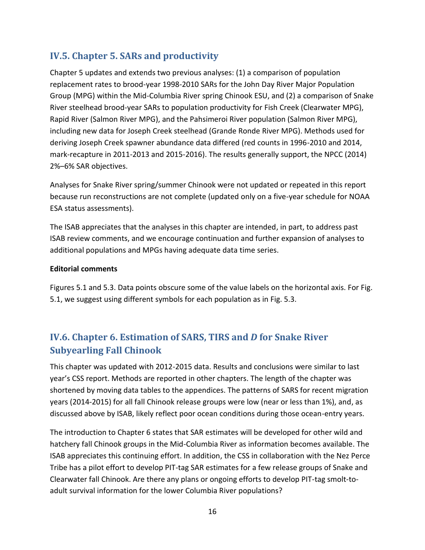## <span id="page-17-0"></span>**IV.5. Chapter 5. SARs and productivity**

Chapter 5 updates and extends two previous analyses: (1) a comparison of population replacement rates to brood-year 1998-2010 SARs for the John Day River Major Population Group (MPG) within the Mid-Columbia River spring Chinook ESU, and (2) a comparison of Snake River steelhead brood-year SARs to population productivity for Fish Creek (Clearwater MPG), Rapid River (Salmon River MPG), and the Pahsimeroi River population (Salmon River MPG), including new data for Joseph Creek steelhead (Grande Ronde River MPG). Methods used for deriving Joseph Creek spawner abundance data differed (red counts in 1996-2010 and 2014, mark-recapture in 2011-2013 and 2015-2016). The results generally support, the NPCC (2014) 2%–6% SAR objectives.

Analyses for Snake River spring/summer Chinook were not updated or repeated in this report because run reconstructions are not complete (updated only on a five-year schedule for NOAA ESA status assessments).

The ISAB appreciates that the analyses in this chapter are intended, in part, to address past ISAB review comments, and we encourage continuation and further expansion of analyses to additional populations and MPGs having adequate data time series.

#### **Editorial comments**

Figures 5.1 and 5.3. Data points obscure some of the value labels on the horizontal axis. For Fig. 5.1, we suggest using different symbols for each population as in Fig. 5.3.

## <span id="page-17-1"></span>**IV.6. Chapter 6. Estimation of SARS, TIRS and** *D* **for Snake River Subyearling Fall Chinook**

This chapter was updated with 2012-2015 data. Results and conclusions were similar to last year's CSS report. Methods are reported in other chapters. The length of the chapter was shortened by moving data tables to the appendices. The patterns of SARS for recent migration years (2014-2015) for all fall Chinook release groups were low (near or less than 1%), and, as discussed above by ISAB, likely reflect poor ocean conditions during those ocean-entry years.

The introduction to Chapter 6 states that SAR estimates will be developed for other wild and hatchery fall Chinook groups in the Mid-Columbia River as information becomes available. The ISAB appreciates this continuing effort. In addition, the CSS in collaboration with the Nez Perce Tribe has a pilot effort to develop PIT-tag SAR estimates for a few release groups of Snake and Clearwater fall Chinook. Are there any plans or ongoing efforts to develop PIT-tag smolt-toadult survival information for the lower Columbia River populations?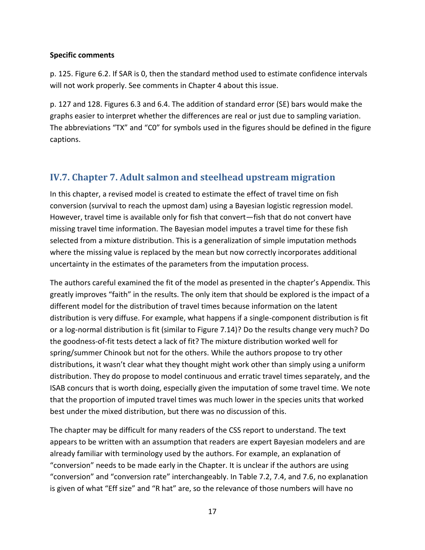#### **Specific comments**

p. 125. Figure 6.2. If SAR is 0, then the standard method used to estimate confidence intervals will not work properly. See comments in Chapter 4 about this issue.

p. 127 and 128. Figures 6.3 and 6.4. The addition of standard error (SE) bars would make the graphs easier to interpret whether the differences are real or just due to sampling variation. The abbreviations "TX" and "C0" for symbols used in the figures should be defined in the figure captions.

### <span id="page-18-0"></span>**IV.7. Chapter 7. Adult salmon and steelhead upstream migration**

In this chapter, a revised model is created to estimate the effect of travel time on fish conversion (survival to reach the upmost dam) using a Bayesian logistic regression model. However, travel time is available only for fish that convert—fish that do not convert have missing travel time information. The Bayesian model imputes a travel time for these fish selected from a mixture distribution. This is a generalization of simple imputation methods where the missing value is replaced by the mean but now correctly incorporates additional uncertainty in the estimates of the parameters from the imputation process.

The authors careful examined the fit of the model as presented in the chapter's Appendix. This greatly improves "faith" in the results. The only item that should be explored is the impact of a different model for the distribution of travel times because information on the latent distribution is very diffuse. For example, what happens if a single-component distribution is fit or a log-normal distribution is fit (similar to Figure 7.14)? Do the results change very much? Do the goodness-of-fit tests detect a lack of fit? The mixture distribution worked well for spring/summer Chinook but not for the others. While the authors propose to try other distributions, it wasn't clear what they thought might work other than simply using a uniform distribution. They do propose to model continuous and erratic travel times separately, and the ISAB concurs that is worth doing, especially given the imputation of some travel time. We note that the proportion of imputed travel times was much lower in the species units that worked best under the mixed distribution, but there was no discussion of this.

The chapter may be difficult for many readers of the CSS report to understand. The text appears to be written with an assumption that readers are expert Bayesian modelers and are already familiar with terminology used by the authors. For example, an explanation of "conversion" needs to be made early in the Chapter. It is unclear if the authors are using "conversion" and "conversion rate" interchangeably. In Table 7.2, 7.4, and 7.6, no explanation is given of what "Eff size" and "R hat" are, so the relevance of those numbers will have no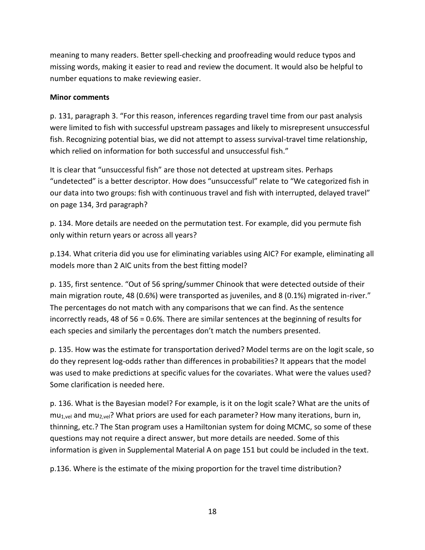meaning to many readers. Better spell-checking and proofreading would reduce typos and missing words, making it easier to read and review the document. It would also be helpful to number equations to make reviewing easier.

#### **Minor comments**

p. 131, paragraph 3. "For this reason, inferences regarding travel time from our past analysis were limited to fish with successful upstream passages and likely to misrepresent unsuccessful fish. Recognizing potential bias, we did not attempt to assess survival-travel time relationship, which relied on information for both successful and unsuccessful fish."

It is clear that "unsuccessful fish" are those not detected at upstream sites. Perhaps "undetected" is a better descriptor. How does "unsuccessful" relate to "We categorized fish in our data into two groups: fish with continuous travel and fish with interrupted, delayed travel" on page 134, 3rd paragraph?

p. 134. More details are needed on the permutation test. For example, did you permute fish only within return years or across all years?

p.134. What criteria did you use for eliminating variables using AIC? For example, eliminating all models more than 2 AIC units from the best fitting model?

p. 135, first sentence. "Out of 56 spring/summer Chinook that were detected outside of their main migration route, 48 (0.6%) were transported as juveniles, and 8 (0.1%) migrated in-river." The percentages do not match with any comparisons that we can find. As the sentence incorrectly reads, 48 of 56 = 0.6%. There are similar sentences at the beginning of results for each species and similarly the percentages don't match the numbers presented.

p. 135. How was the estimate for transportation derived? Model terms are on the logit scale, so do they represent log-odds rather than differences in probabilities? It appears that the model was used to make predictions at specific values for the covariates. What were the values used? Some clarification is needed here.

p. 136. What is the Bayesian model? For example, is it on the logit scale? What are the units of  $mu_{1,vel}$  and  $mu_{2,vel}$ ? What priors are used for each parameter? How many iterations, burn in, thinning, etc.? The Stan program uses a Hamiltonian system for doing MCMC, so some of these questions may not require a direct answer, but more details are needed. Some of this information is given in Supplemental Material A on page 151 but could be included in the text*.*

p.136. Where is the estimate of the mixing proportion for the travel time distribution?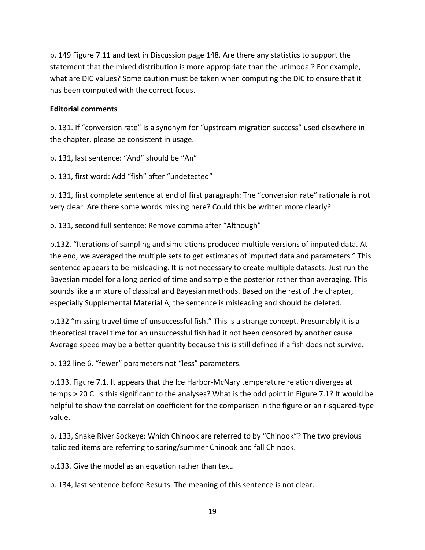p. 149 Figure 7.11 and text in Discussion page 148. Are there any statistics to support the statement that the mixed distribution is more appropriate than the unimodal? For example, what are DIC values? Some caution must be taken when computing the DIC to ensure that it has been computed with the correct focus.

#### **Editorial comments**

p. 131. If "conversion rate" Is a synonym for "upstream migration success" used elsewhere in the chapter, please be consistent in usage.

p. 131, last sentence: "And" should be "An"

p. 131, first word: Add "fish" after "undetected"

p. 131, first complete sentence at end of first paragraph: The "conversion rate" rationale is not very clear. Are there some words missing here? Could this be written more clearly?

p. 131, second full sentence: Remove comma after "Although"

p.132. "Iterations of sampling and simulations produced multiple versions of imputed data. At the end, we averaged the multiple sets to get estimates of imputed data and parameters." This sentence appears to be misleading. It is not necessary to create multiple datasets. Just run the Bayesian model for a long period of time and sample the posterior rather than averaging. This sounds like a mixture of classical and Bayesian methods. Based on the rest of the chapter, especially Supplemental Material A, the sentence is misleading and should be deleted.

p.132 "missing travel time of unsuccessful fish." This is a strange concept. Presumably it is a theoretical travel time for an unsuccessful fish had it not been censored by another cause. Average speed may be a better quantity because this is still defined if a fish does not survive.

p. 132 line 6. "fewer" parameters not "less" parameters.

p.133. Figure 7.1. It appears that the Ice Harbor-McNary temperature relation diverges at temps > 20 C. Is this significant to the analyses? What is the odd point in Figure 7.1? It would be helpful to show the correlation coefficient for the comparison in the figure or an r-squared-type value.

p. 133, Snake River Sockeye: Which Chinook are referred to by "Chinook"? The two previous italicized items are referring to spring/summer Chinook and fall Chinook.

p.133. Give the model as an equation rather than text.

p. 134, last sentence before Results. The meaning of this sentence is not clear.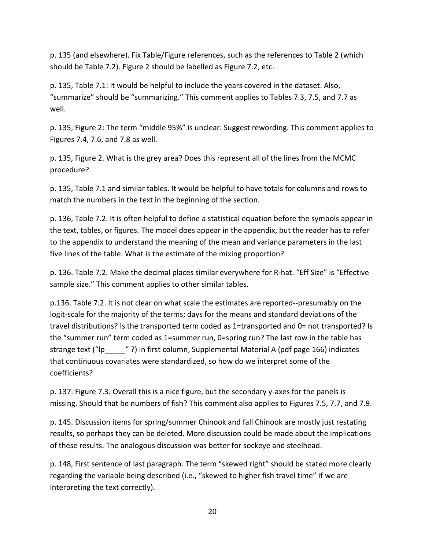p. 135 (and elsewhere). Fix Table/Figure references, such as the references to Table 2 (which should be Table 7.2). Figure 2 should be labelled as Figure 7.2, etc.

p. 135, Table 7.1: It would be helpful to include the years covered in the dataset. Also, "summarize" should be "summarizing." This comment applies to Tables 7.3, 7.5, and 7.7 as well.

p. 135, Figure 2: The term "middle 95%" is unclear. Suggest rewording. This comment applies to Figures 7.4, 7.6, and 7.8 as well.

p. 135, Figure 2. What is the grey area? Does this represent all of the lines from the MCMC procedure?

p. 135, Table 7.1 and similar tables. It would be helpful to have totals for columns and rows to match the numbers in the text in the beginning of the section.

p. 136, Table 7.2. It is often helpful to define a statistical equation before the symbols appear in the text, tables, or figures. The model does appear in the appendix, but the reader has to refer to the appendix to understand the meaning of the mean and variance parameters in the last five lines of the table. What is the estimate of the mixing proportion?

p. 136. Table 7.2. Make the decimal places similar everywhere for R-hat. "Eff Size" is "Effective sample size." This comment applies to other similar tables.

p.136. Table 7.2. It is not clear on what scale the estimates are reported--presumably on the logit-scale for the majority of the terms; days for the means and standard deviations of the travel distributions? Is the transported term coded as 1=transported and 0= not transported? Is the "summer run" term coded as 1=summer run, 0=spring run? The last row in the table has strange text ("lp \_\_\_\_\_" ?) in first column, Supplemental Material A (pdf page 166) indicates that continuous covariates were standardized, so how do we interpret some of the coefficients?

p. 137. Figure 7.3. Overall this is a nice figure, but the secondary y-axes for the panels is missing. Should that be numbers of fish? This comment also applies to Figures 7.5, 7.7, and 7.9.

p. 145. Discussion items for spring/summer Chinook and fall Chinook are mostly just restating results, so perhaps they can be deleted. More discussion could be made about the implications of these results. The analogous discussion was better for sockeye and steelhead.

p. 148, First sentence of last paragraph. The term "skewed right" should be stated more clearly regarding the variable being described (i.e., "skewed to higher fish travel time" if we are interpreting the text correctly).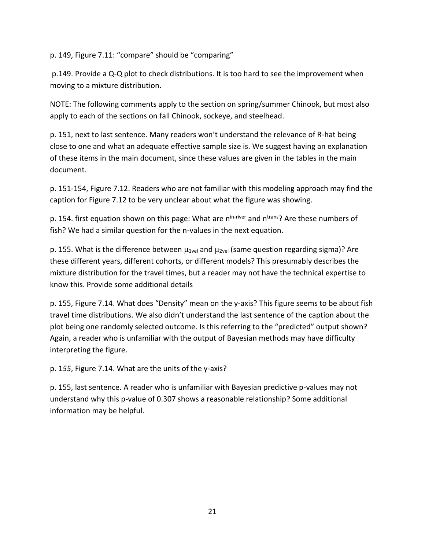p. 149, Figure 7.11: "compare" should be "comparing"

p.149. Provide a Q-Q plot to check distributions. It is too hard to see the improvement when moving to a mixture distribution.

NOTE: The following comments apply to the section on spring/summer Chinook, but most also apply to each of the sections on fall Chinook, sockeye, and steelhead.

p. 151, next to last sentence. Many readers won't understand the relevance of R-hat being close to one and what an adequate effective sample size is. We suggest having an explanation of these items in the main document, since these values are given in the tables in the main document.

p. 151-154, Figure 7.12. Readers who are not familiar with this modeling approach may find the caption for Figure 7.12 to be very unclear about what the figure was showing.

p. 154. first equation shown on this page: What are n<sup>in-river</sup> and n<sup>trans</sup>? Are these numbers of fish? We had a similar question for the n-values in the next equation.

p. 155. What is the difference between  $\mu_{1}$ <sub>vel</sub> and  $\mu_{2}$ <sub>vel</sub> (same question regarding sigma)? Are these different years, different cohorts, or different models? This presumably describes the mixture distribution for the travel times, but a reader may not have the technical expertise to know this. Provide some additional details

p. 155, Figure 7.14. What does "Density" mean on the y-axis? This figure seems to be about fish travel time distributions. We also didn't understand the last sentence of the caption about the plot being one randomly selected outcome. Is this referring to the "predicted" output shown? Again, a reader who is unfamiliar with the output of Bayesian methods may have difficulty interpreting the figure.

p. 1*55*, Figure 7.14. What are the units of the y-axis?

<span id="page-22-0"></span>p. 155, last sentence. A reader who is unfamiliar with Bayesian predictive p-values may not understand why this p-value of 0.307 shows a reasonable relationship? Some additional information may be helpful.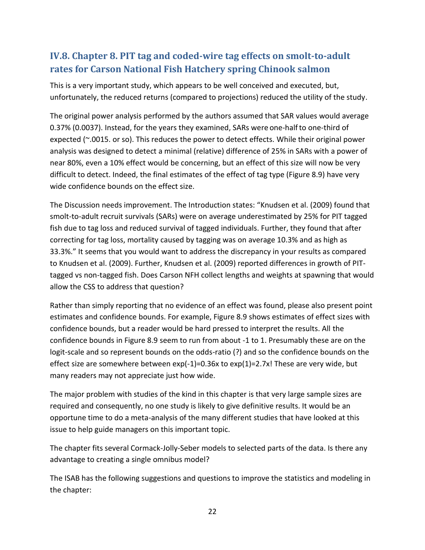## **IV.8. Chapter 8. PIT tag and coded-wire tag effects on smolt-to-adult rates for Carson National Fish Hatchery spring Chinook salmon**

This is a very important study, which appears to be well conceived and executed, but, unfortunately, the reduced returns (compared to projections) reduced the utility of the study.

The original power analysis performed by the authors assumed that SAR values would average 0.37% (0.0037). Instead, for the years they examined, SARs were one-halfto one-third of expected (~.0015. or so). This reduces the power to detect effects. While their original power analysis was designed to detect a minimal (relative) difference of 25% in SARs with a power of near 80%, even a 10% effect would be concerning, but an effect of this size will now be very difficult to detect. Indeed, the final estimates of the effect of tag type (Figure 8.9) have very wide confidence bounds on the effect size.

The Discussion needs improvement. The Introduction states: "Knudsen et al. (2009) found that smolt-to-adult recruit survivals (SARs) were on average underestimated by 25% for PIT tagged fish due to tag loss and reduced survival of tagged individuals. Further, they found that after correcting for tag loss, mortality caused by tagging was on average 10.3% and as high as 33.3%." It seems that you would want to address the discrepancy in your results as compared to Knudsen et al. (2009). Further, Knudsen et al. (2009) reported differences in growth of PITtagged vs non-tagged fish. Does Carson NFH collect lengths and weights at spawning that would allow the CSS to address that question?

Rather than simply reporting that no evidence of an effect was found, please also present point estimates and confidence bounds. For example, Figure 8.9 shows estimates of effect sizes with confidence bounds, but a reader would be hard pressed to interpret the results. All the confidence bounds in Figure 8.9 seem to run from about -1 to 1. Presumably these are on the logit-scale and so represent bounds on the odds-ratio (?) and so the confidence bounds on the effect size are somewhere between  $exp(-1)=0.36x$  to  $exp(1)=2.7x!$  These are very wide, but many readers may not appreciate just how wide.

The major problem with studies of the kind in this chapter is that very large sample sizes are required and consequently, no one study is likely to give definitive results. It would be an opportune time to do a meta-analysis of the many different studies that have looked at this issue to help guide managers on this important topic.

The chapter fits several Cormack-Jolly-Seber models to selected parts of the data. Is there any advantage to creating a single omnibus model?

The ISAB has the following suggestions and questions to improve the statistics and modeling in the chapter: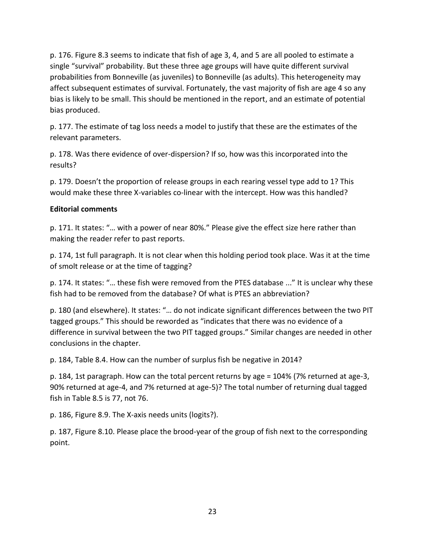p. 176. Figure 8.3 seems to indicate that fish of age 3, 4, and 5 are all pooled to estimate a single "survival" probability. But these three age groups will have quite different survival probabilities from Bonneville (as juveniles) to Bonneville (as adults). This heterogeneity may affect subsequent estimates of survival. Fortunately, the vast majority of fish are age 4 so any bias is likely to be small. This should be mentioned in the report, and an estimate of potential bias produced.

p. 177. The estimate of tag loss needs a model to justify that these are the estimates of the relevant parameters.

p. 178. Was there evidence of over-dispersion? If so, how was this incorporated into the results?

p. 179. Doesn't the proportion of release groups in each rearing vessel type add to 1? This would make these three X-variables co-linear with the intercept. How was this handled?

#### **Editorial comments**

p. 171. It states: "… with a power of near 80%." Please give the effect size here rather than making the reader refer to past reports.

p. 174, 1st full paragraph. It is not clear when this holding period took place. Was it at the time of smolt release or at the time of tagging?

p. 174. It states: "… these fish were removed from the PTES database ..." It is unclear why these fish had to be removed from the database? Of what is PTES an abbreviation?

p. 180 (and elsewhere). It states: "… do not indicate significant differences between the two PIT tagged groups." This should be reworded as "indicates that there was no evidence of a difference in survival between the two PIT tagged groups." Similar changes are needed in other conclusions in the chapter.

p. 184, Table 8.4. How can the number of surplus fish be negative in 2014?

p. 184, 1st paragraph. How can the total percent returns by age = 104% (7% returned at age-3, 90% returned at age-4, and 7% returned at age-5)? The total number of returning dual tagged fish in Table 8.5 is 77, not 76.

p. 186, Figure 8.9. The X-axis needs units (logits?).

p. 187, Figure 8.10. Please place the brood-year of the group of fish next to the corresponding point.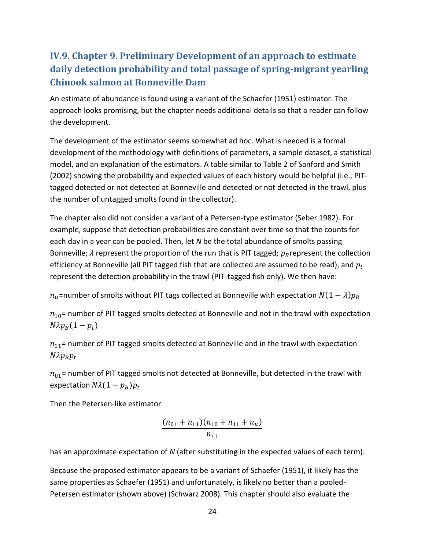## <span id="page-25-0"></span>**IV.9. Chapter 9. Preliminary Development of an approach to estimate daily detection probability and total passage of spring-migrant yearling Chinook salmon at Bonneville Dam**

An estimate of abundance is found using a variant of the Schaefer (1951) estimator. The approach looks promising, but the chapter needs additional details so that a reader can follow the development.

The development of the estimator seems somewhat ad hoc. What is needed is a formal development of the methodology with definitions of parameters, a sample dataset, a statistical model, and an explanation of the estimators. A table similar to Table 2 of Sanford and Smith (2002) showing the probability and expected values of each history would be helpful (i.e., PITtagged detected or not detected at Bonneville and detected or not detected in the trawl, plus the number of untagged smolts found in the collector).

The chapter also did not consider a variant of a Petersen-type estimator (Seber 1982). For example, suppose that detection probabilities are constant over time so that the counts for each day in a year can be pooled. Then, let *N* be the total abundance of smolts passing Bonneville;  $\lambda$  represent the proportion of the run that is PIT tagged;  $p_B$  represent the collection efficiency at Bonneville (all PIT tagged fish that are collected are assumed to be read), and  $p_t$ represent the detection probability in the trawl (PIT-tagged fish only). We then have:

 $n_u$ =number of smolts without PIT tags collected at Bonneville with expectation  $N(1 - \lambda)p_B$ 

 $n_{10}$ = number of PIT tagged smolts detected at Bonneville and not in the trawl with expectation  $N\lambda p_B(1 - p_t)$ 

 $n_{11}$  = number of PIT tagged smolts detected at Bonneville and in the trawl with expectation  $N\lambda p_R p_t$ 

 $n_{01}$  number of PIT tagged smolts not detected at Bonneville, but detected in the trawl with expectation  $N\lambda(1 - p_B)p_t$ 

Then the Petersen-like estimator

$$
\frac{(n_{01}+n_{11})(n_{10}+n_{11}+n_{u})}{n_{11}}
$$

has an approximate expectation of *N* (after substituting in the expected values of each term).

Because the proposed estimator appears to be a variant of Schaefer (1951), it likely has the same properties as Schaefer (1951) and unfortunately, is likely no better than a pooled-Petersen estimator (shown above) (Schwarz 2008). This chapter should also evaluate the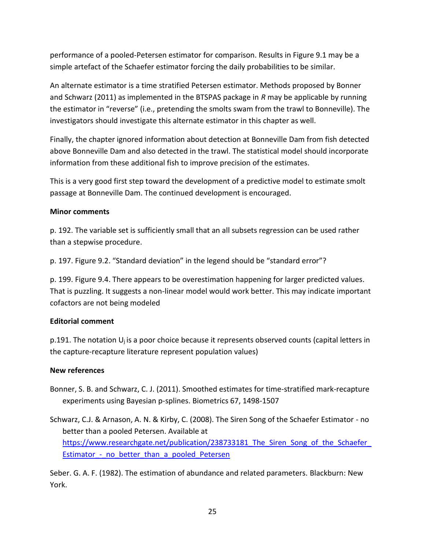performance of a pooled-Petersen estimator for comparison. Results in Figure 9.1 may be a simple artefact of the Schaefer estimator forcing the daily probabilities to be similar.

An alternate estimator is a time stratified Petersen estimator. Methods proposed by Bonner and Schwarz (2011) as implemented in the BTSPAS package in *R* may be applicable by running the estimator in "reverse" (i.e., pretending the smolts swam from the trawl to Bonneville). The investigators should investigate this alternate estimator in this chapter as well.

Finally, the chapter ignored information about detection at Bonneville Dam from fish detected above Bonneville Dam and also detected in the trawl. The statistical model should incorporate information from these additional fish to improve precision of the estimates.

This is a very good first step toward the development of a predictive model to estimate smolt passage at Bonneville Dam. The continued development is encouraged.

#### **Minor comments**

p. 192. The variable set is sufficiently small that an all subsets regression can be used rather than a stepwise procedure.

p. 197. Figure 9.2. "Standard deviation" in the legend should be "standard error"?

p. 199. Figure 9.4. There appears to be overestimation happening for larger predicted values. That is puzzling. It suggests a non-linear model would work better. This may indicate important cofactors are not being modeled

#### **Editorial comment**

p.191. The notation  $U_i$  is a poor choice because it represents observed counts (capital letters in the capture-recapture literature represent population values)

#### **New references**

- Bonner, S. B. and Schwarz, C. J. (2011). Smoothed estimates for time-stratified mark-recapture experiments using Bayesian p-splines. Biometrics 67, 1498-1507
- Schwarz, C.J. & Arnason, A. N. & Kirby, C. (2008). The Siren Song of the Schaefer Estimator no better than a pooled Petersen. Available at https://www.researchgate.net/publication/238733181 The Siren Song of the Schaefer Estimator - no better than a pooled Petersen

Seber. G. A. F. (1982). The estimation of abundance and related parameters. Blackburn: New York.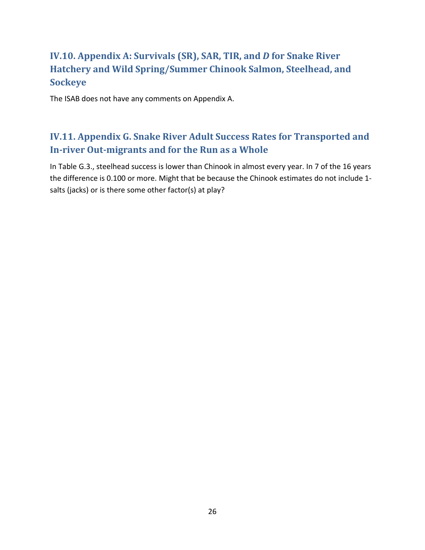## <span id="page-27-0"></span>**IV.10. Appendix A: Survivals (SR), SAR, TIR, and** *D* **for Snake River Hatchery and Wild Spring/Summer Chinook Salmon, Steelhead, and Sockeye**

The ISAB does not have any comments on Appendix A.

## <span id="page-27-1"></span>**IV.11. Appendix G. Snake River Adult Success Rates for Transported and In-river Out-migrants and for the Run as a Whole**

<span id="page-27-2"></span>In Table G.3., steelhead success is lower than Chinook in almost every year. In 7 of the 16 years the difference is 0.100 or more. Might that be because the Chinook estimates do not include 1 salts (jacks) or is there some other factor(s) at play?